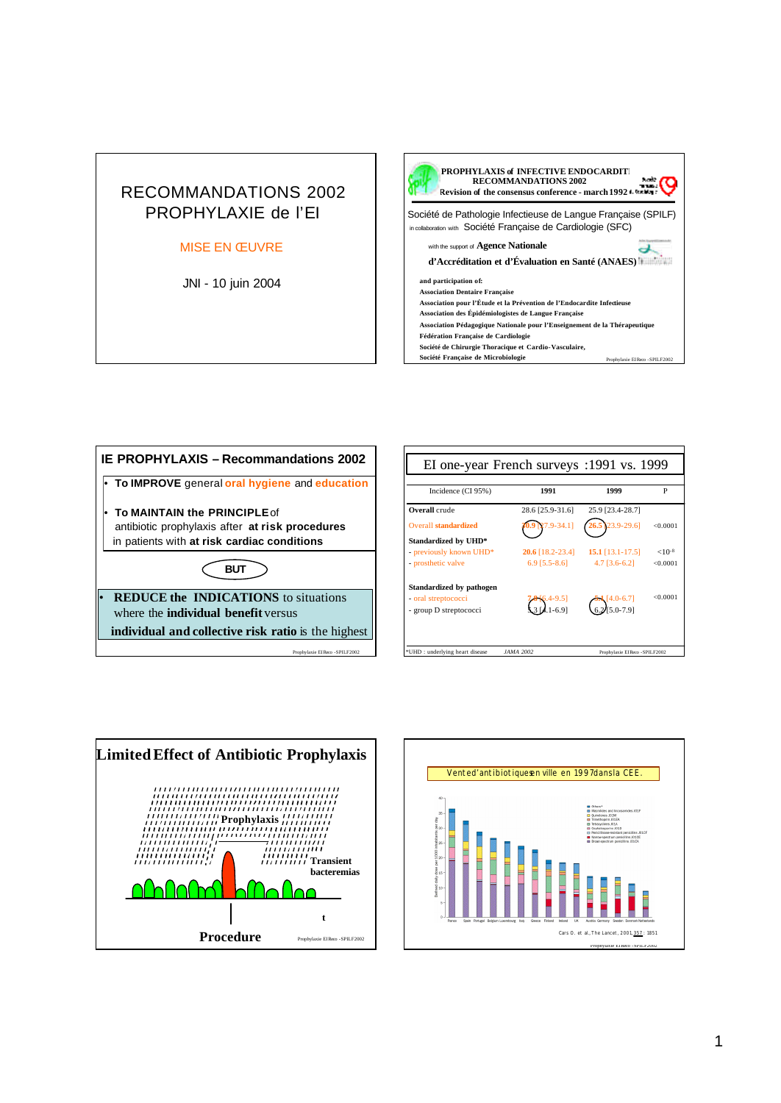## RECOMMANDATIONS 2002 PROPHYLAXIE de l'EI

## MISE EN ŒUVRE

JNI - 10 juin 2004









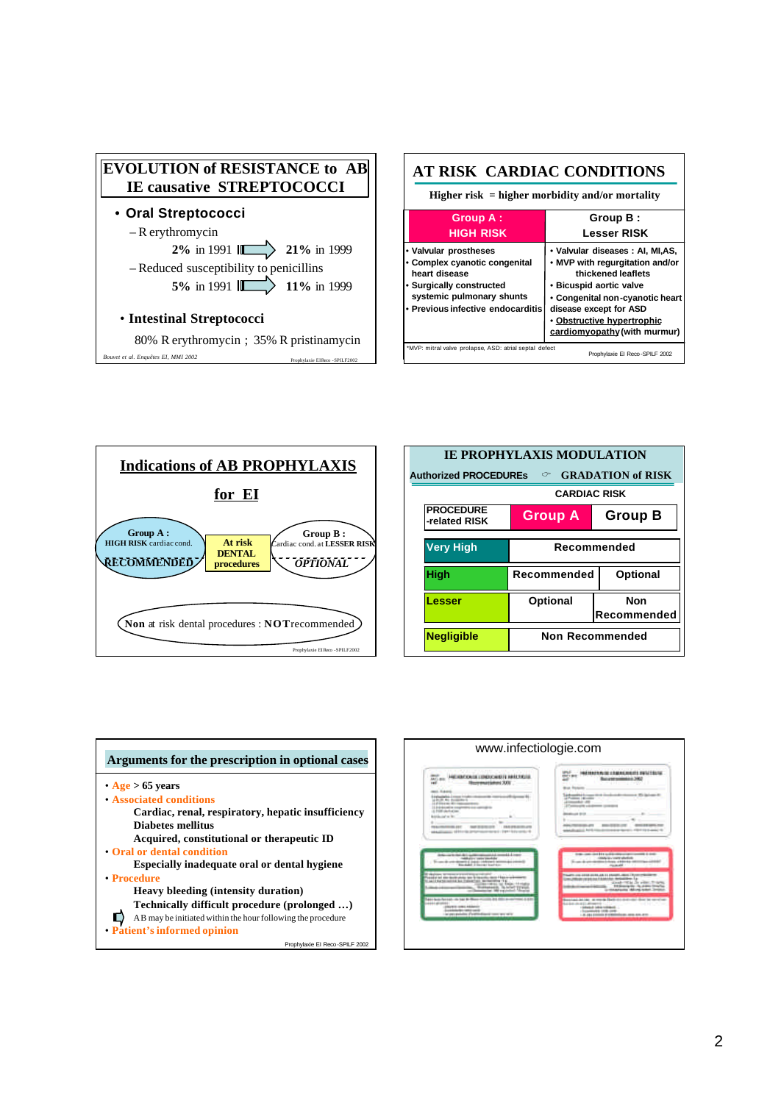





| <b>IE PROPHYLAXIS MODULATION</b><br><b>Authorized PROCEDUREs</b><br>$\circ$ GRADATION of RISK |                        |                           |  |
|-----------------------------------------------------------------------------------------------|------------------------|---------------------------|--|
|                                                                                               | <b>CARDIAC RISK</b>    |                           |  |
| <b>PROCEDURE</b><br>-related RISK                                                             | <b>Group A</b>         | <b>Group B</b>            |  |
| <b>Very High</b>                                                                              | Recommended            |                           |  |
| <b>High</b>                                                                                   | Recommended            | <b>Optional</b>           |  |
| Lesser                                                                                        | <b>Optional</b>        | <b>Non</b><br>Recommended |  |
| <b>Negligible</b>                                                                             | <b>Non Recommended</b> |                           |  |